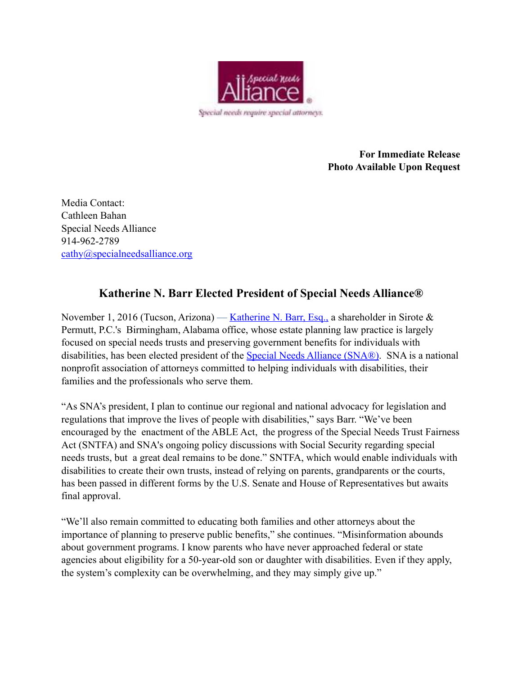

**For Immediate Release Photo Available Upon Request** 

Media Contact: Cathleen Bahan Special Needs Alliance 914-962-2789 [cathy@specialneedsalliance.org](mailto:cathy@specialneedsalliance.org)

## **Katherine N. Barr Elected President of Special Needs Alliance®**

November 1, 2016 (Tucson, Arizona) — [Katherine N. Barr, Esq.,](https://www.sirote.com/) a shareholder in Sirote  $\&$ Permutt, P.C.'s Birmingham, Alabama office, whose estate planning law practice is largely focused on special needs trusts and preserving government benefits for individuals with disabilities, has been elected president of the [Special Needs Alliance \(SNA®\).](http://www.specialneedsalliance.org/) SNA is a national nonprofit association of attorneys committed to helping individuals with disabilities, their families and the professionals who serve them.

"As SNA's president, I plan to continue our regional and national advocacy for legislation and regulations that improve the lives of people with disabilities," says Barr. "We've been encouraged by the enactment of the ABLE Act, the progress of the Special Needs Trust Fairness Act (SNTFA) and SNA's ongoing policy discussions with Social Security regarding special needs trusts, but a great deal remains to be done." SNTFA, which would enable individuals with disabilities to create their own trusts, instead of relying on parents, grandparents or the courts, has been passed in different forms by the U.S. Senate and House of Representatives but awaits final approval.

"We'll also remain committed to educating both families and other attorneys about the importance of planning to preserve public benefits," she continues. "Misinformation abounds about government programs. I know parents who have never approached federal or state agencies about eligibility for a 50-year-old son or daughter with disabilities. Even if they apply, the system's complexity can be overwhelming, and they may simply give up."